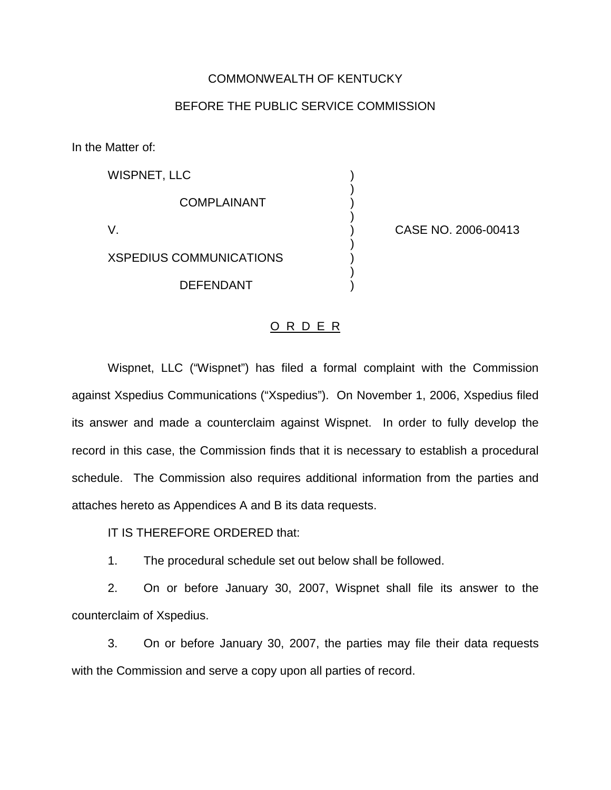#### COMMONWEALTH OF KENTUCKY

### BEFORE THE PUBLIC SERVICE COMMISSION

)

)

)

)

In the Matter of:

WISPNET, LLC ) **COMPLAINANT** 

XSPEDIUS COMMUNICATIONS )

**DEFENDANT** 

V. ) CASE NO. 2006-00413

O R D E R

Wispnet, LLC ("Wispnet") has filed a formal complaint with the Commission against Xspedius Communications ("Xspedius"). On November 1, 2006, Xspedius filed its answer and made a counterclaim against Wispnet. In order to fully develop the record in this case, the Commission finds that it is necessary to establish a procedural schedule. The Commission also requires additional information from the parties and attaches hereto as Appendices A and B its data requests.

IT IS THEREFORE ORDERED that:

1. The procedural schedule set out below shall be followed.

2. On or before January 30, 2007, Wispnet shall file its answer to the counterclaim of Xspedius.

3. On or before January 30, 2007, the parties may file their data requests with the Commission and serve a copy upon all parties of record.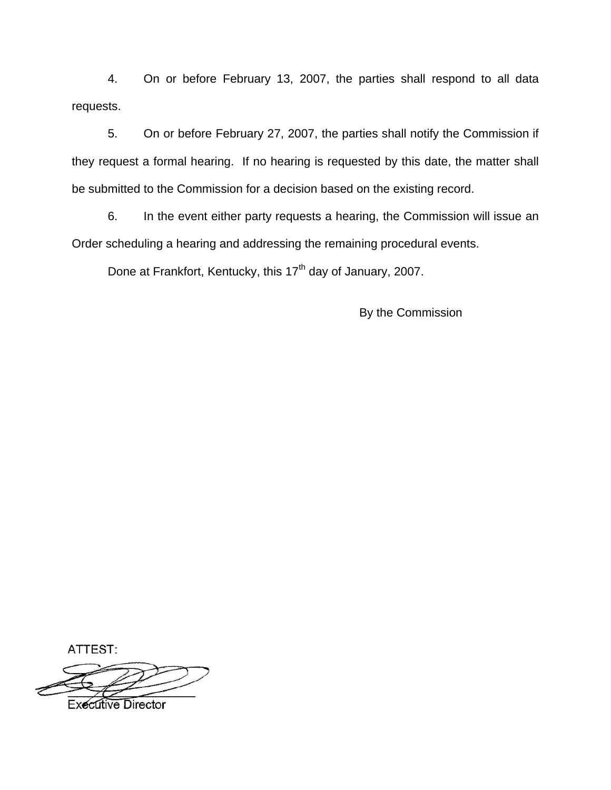4. On or before February 13, 2007, the parties shall respond to all data requests.

5. On or before February 27, 2007, the parties shall notify the Commission if they request a formal hearing. If no hearing is requested by this date, the matter shall be submitted to the Commission for a decision based on the existing record.

6. In the event either party requests a hearing, the Commission will issue an Order scheduling a hearing and addressing the remaining procedural events.

Done at Frankfort, Kentucky, this 17<sup>th</sup> day of January, 2007.

By the Commission

ATTEST:

**Executive Director**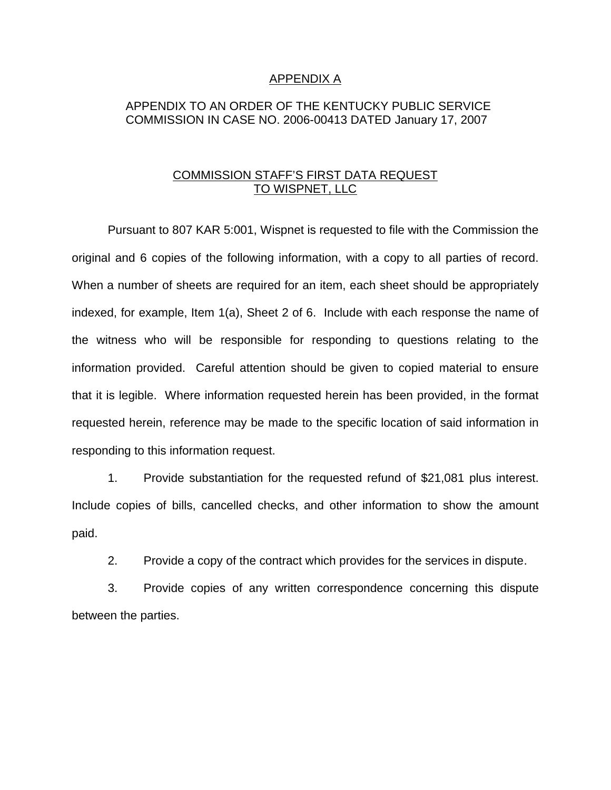#### APPENDIX A

# APPENDIX TO AN ORDER OF THE KENTUCKY PUBLIC SERVICE COMMISSION IN CASE NO. 2006-00413 DATED January 17, 2007

## COMMISSION STAFF'S FIRST DATA REQUEST TO WISPNET, LLC

Pursuant to 807 KAR 5:001, Wispnet is requested to file with the Commission the original and 6 copies of the following information, with a copy to all parties of record. When a number of sheets are required for an item, each sheet should be appropriately indexed, for example, Item 1(a), Sheet 2 of 6. Include with each response the name of the witness who will be responsible for responding to questions relating to the information provided. Careful attention should be given to copied material to ensure that it is legible. Where information requested herein has been provided, in the format requested herein, reference may be made to the specific location of said information in responding to this information request.

1. Provide substantiation for the requested refund of \$21,081 plus interest. Include copies of bills, cancelled checks, and other information to show the amount paid.

2. Provide a copy of the contract which provides for the services in dispute.

3. Provide copies of any written correspondence concerning this dispute between the parties.